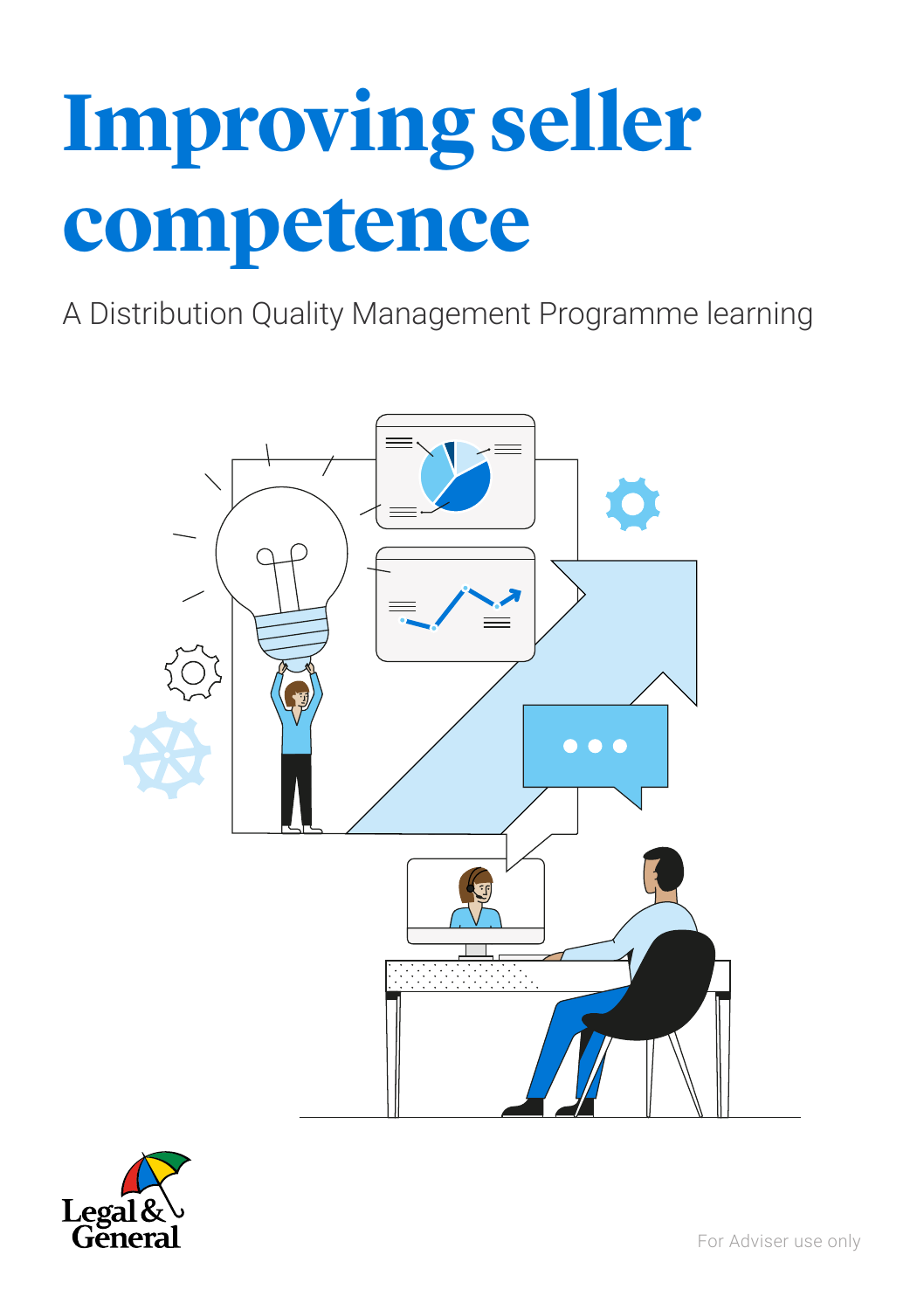# **Improving seller competence**

A Distribution Quality Management Programme learning